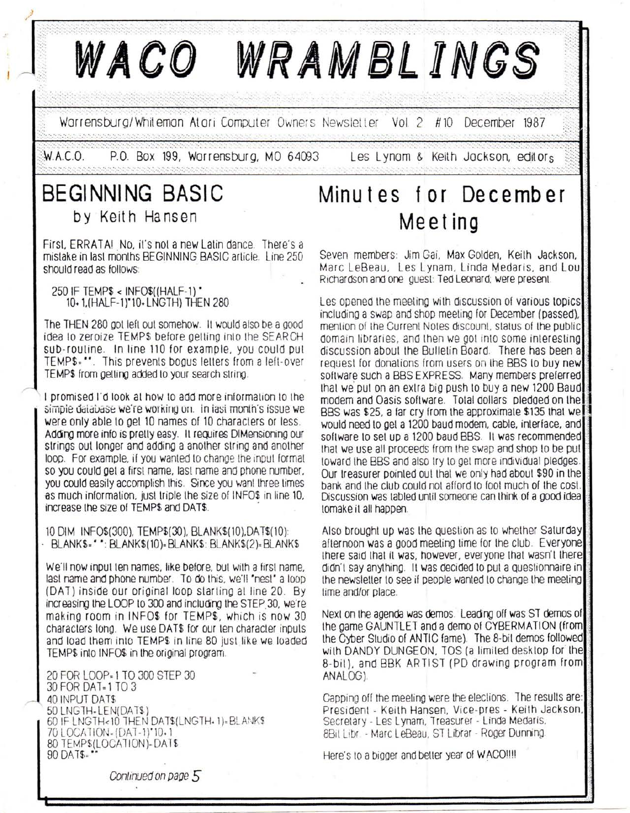

Vol. 2 #10 December 1987 Warrensburg/Whiteman Atari Computer Owners Newsletter

 $W.A.C.O.$ P.O. Box 199, Warrensburg, MO 64093 Les Lynam & Keith Jackson, editors

### **BEGINNING BASIC** by Keith Hansen

First, ERRATA! No, it's not a new Latin dance. There's a mistake in last months BEGINNING BASIC article. Line 250 should read as follows:

250 IF TEMP\$ < INFO\$((HALF-1) \* 10+1, (HALF-1)\*10+LNGTH) THEN 280

The THEN 280 got left out somehow. It would also be a good idea to zeroize TEMP\$ before getting into the SEARCH sub-routine. In line 110 for example, you could put TEMP\$=". This prevents bogus letters from a left-over TEMP\$ from getting added to your search string.

I promised I'd look at how to add more information to the simple database we're working on. In last month's issue we were only able to get 10 names of 10 characters or less. Adding more info is pretty easy. It requires DIMensioning our strings out longer and adding a another string and another loop. For example, if you wanted to change the input format so you could get a first name, last name and phone number, you could easily accomplish this. Since you want three times as much information, just triple the size of INFO\$ in line 10, increase the size of TEMP\$ and DAT\$.

10 DIM INFO\$(300), TEMP\$(30), BLANK\$(10),DAT\$(10): BLANK\$="": BLANK\$(10)=BLANK\$: BLANK\$(2)=BLANK\$

We'll now input ten names, like before, but with a first name. last name and phone number. To do this, we'll "nest" a loop (DAT) inside our original loop starting at line 20. By increasing the LOOP to 300 and including the STEP 30, we're making room in INFOS for TEMPS, which is now 30 characters long. We use DAT\$ for our ten character inputs and load them into TEMP\$ in line 80 just like we loaded TEMP\$ into INFO\$ in the original program.

20 FOR LOOP=1 TO 300 STEP 30 30 FOR DAT=1 TO 3 40 INPUT DAT\$ 50 LNGTH=LEN(DAT\$)<br>60 IF LNGTH<10 THEN DAT\$(LNGTH+1)=BLANK\$ 70 LOCATION=(DAT-1)\*10+1 80 TEMP\$(LOCATION)=DAT\$ 90 DAT<sub>\$=</sub>\*

### Minutes for December Meeting

Seven members: Jim Gai, Max Golden, Keith Jackson, Marc LeBeau, Les Lynam, Linda Medaris, and Lou Richardson and one guest: Ted Leonard; were present.

Les opened the meeting with discussion of various topics including a swap and shop meeting for December (passed), mention of the Current Notes discount, status of the public domain libraries, and then we got into some interesting discussion about the Bulletin Board. There has been a request for donations from users on the BBS to buy new software such a BBS EXPRESS. Many members preferred that we put on an extra big push to buy a new 1200 Baud modem and Oasis software. Total dollars pledged on the BBS was \$25, a far cry from the approximate \$135 that we would need to get a 1200 baud modem, cable, interface, and software to set up a 1200 baud BBS. It was recommended that we use all proceeds from the swap and shop to be put toward the BBS and also try to get more individual pledges. Our treasurer pointed out that we only had about \$90 in the bank and the club could not afford to foot much of the cost. Discussion was tabled until someone can think of a good idea tomake it all happen.

Also brought up was the question as to whether Saturday afternoon was a good meeting time for the club. Everyone there said that it was, however, everyone that wasn't there didn't say anything. It was decided to put a questionnaire in the newsletter to see if people wanted to change the meeting time and/or place.

Next on the agenda was demos. Leading off was ST demos of the game GAUNTLET and a demo of CYBERMATION (from the Cyber Studio of ANTIC fame). The 8-bit demos followed with DANDY DUNGEON, TOS (a limited desktop for the 8-bil), and BBK ARTIST (PD drawing program from ANALOGY.

Capping off the meeting were the elections. The results are: President - Keith Hansen, Vice-pres - Keith Jackson, Secretary - Les Lynam, Treasurer - Linda Medaris, 8Bit Libr. - Marc LeBeau, ST Librar - Roger Dunning.

Here's to a bigger and better year of WACO!!!!

Continued on page 5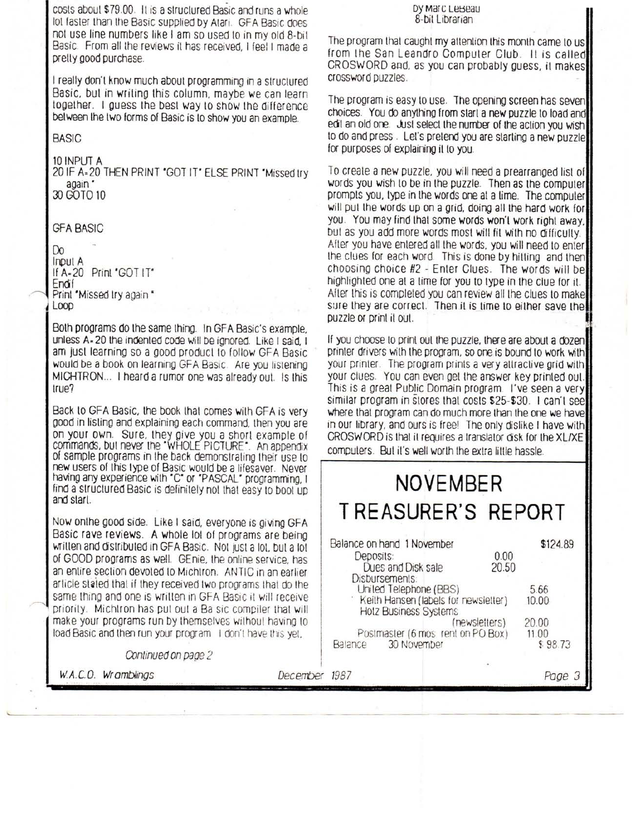costs about \$79.00. It is astructured Basic and runs awhole <sup>101</sup> faster than the Basic supplied by Atari. GFA Basic does nOl use line numbers like I am so used to in myoid 8-bil Basic. From all the reviews it has received, I feel I made a prelly good purchase.

I really don't know much about programming in aslruclured BaSic, but in wriling this column, maybe we can learn together. I guess the best way <sup>10</sup> show the difference between the two forms of Basic is to show you an example.

#### BASIC

10 INPUT A 20 IF A=20 THEN PRINT 'GOT IT" ELSE PRINT 'Missed try again' 30 GOTO 10

GFA BASIC

Do Input A If A= 20 Print 'GOT IT' Endi Print "Missed Iry again" Loop

Both programs do the same thing. In GFA BaSic's example, unless A-20 the indented code will be ignored. Like I said, I am Just learning so a good product <sup>10</sup> follow GFA Basic would be abook on learning GFA Basic, Are you listening MICHTRON... I heard a rumor one was already oul. Is this true?

Back to GFA Basic, the book that comes with GFA is very good in listing and explaining each command, then you are on your own. Sure, they give you a short example of commands, but never the "WHOLE PICTURE". An appendix of sample programs in the back demonstrating their use to new users of this type of Basic would be a lifesaver. Never having any experience with "C" or "PASCAL" programming, I find a structured Basic is definitely not that easy to boot up and starl.

Now onlhe good side. Like I said, everyone is giving GFA Basic rave reviews. A whole <sup>101</sup> of programs are being written and distributed in GFA Basic. Not just a lot, but a lot. of GOOD programs as well. GEnie, the online service, has an entire seclion devoted <sup>10</sup> Michlron. ANTIC in an earlier article stated that if they received two programs that do the same thing and one is written in GFA Basic it will receive priority. Michtron has put out a Ba sic compiler that will make your programs run by themselves without having to load Basic and then run your program I don't have this yet.

Continued on page 2

W.A.C.O. Wramblings December

#### Dy Marc LeBeau 8-bit Librarian

The program thai caught my attenlion Ihis month came to us from the San Leandro Computer Club. It is called CROSWORD and, as you can probably guess, il makes crossword puzzles.

The program is easy to use. The opening screen has seven choices. You do anything from start a new puzzle to load and edit an old one. Just select the number of the action you wish to do and press. Let's pretend you are starting anew puzzle for purposes of explaining it to you.

To creale a new puzzle, you will need a prearranged IiSI of words you wish 10 be in the puzzle. Then as lhe computer prompts you, type in the words one at a lime. The computer· will put the words up on a grid, doing all the hard work for you. You may find that some words won't work right away, but as you add more words most will fit With no difficulty. After you have entered all the words, you Will need to enter the clues for each word. This is done by hitting and then. choosing choice #2 - Enter Clues. The words will be highlighted one at a time for you to type in the clue for it. After this is completed you can review all the clues to make' sure they are correct. Then it is time to either save the puzzle or print it out.

If you choose to print out the puzzle, there are about a dozen printer drivers With the program, so one is bound to work With your printer. The program prints a very allraclive grid with your clues. You can even get the answer key printed out. ThiS is a great Public Domain program I've seen a very similar program in slores that costs \$25-\$30. I can'l see where that program can do much more than Ihe one we have in our library, and ours is freel The only dislike I have wilh . CROSWORD is that it requires a translator disk for the XLIXE compulers. Bul it's well worth the extra little hassle.

# **NOVEMBER TREASURER'S REPORT**

| Balance on hand 1 November                                            |               | \$124.89 |
|-----------------------------------------------------------------------|---------------|----------|
| Deposits:                                                             | 0.00          |          |
| Dues and Disk sale                                                    | 20.50         |          |
| Disbursements:                                                        |               |          |
| United Telephone (BBS)                                                |               | 5.66     |
| 'Keith Hansen (labels for newsletter)<br><b>Hotz Business Systems</b> |               | 10.00    |
|                                                                       | (newsletters) | 20.00    |
| Postmaster (6 mos rent on PO Box)                                     |               | 11.00    |
| 30 November<br>Balance                                                |               | \$98.73  |
|                                                                       |               |          |
| 1987                                                                  |               | Page     |